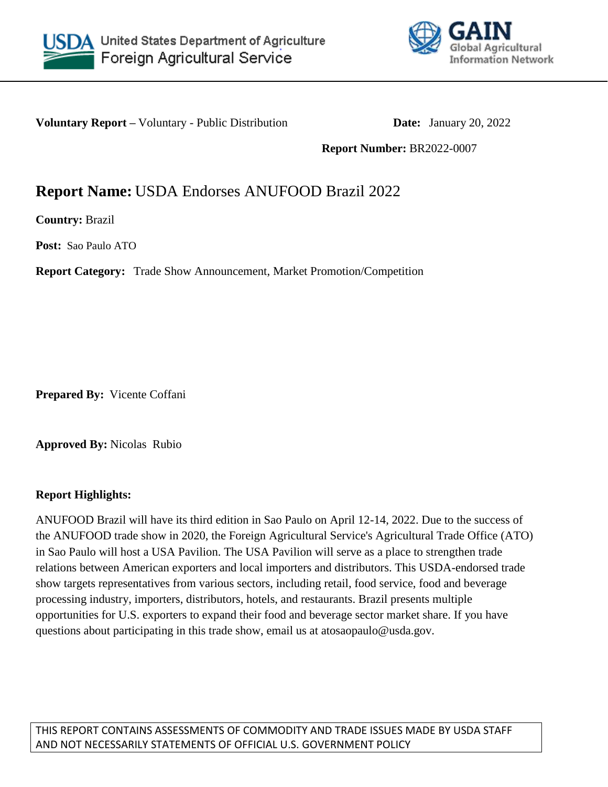



**Voluntary Report –** Voluntary - Public Distribution **Date:** January 20, 2022

**Report Number:** BR2022-0007

# **Report Name:** USDA Endorses ANUFOOD Brazil 2022

**Country:** Brazil

**Post:** Sao Paulo ATO

**Report Category:** Trade Show Announcement, Market Promotion/Competition

**Prepared By:** Vicente Coffani

**Approved By:** Nicolas Rubio

#### **Report Highlights:**

ANUFOOD Brazil will have its third edition in Sao Paulo on April 12-14, 2022. Due to the success of the ANUFOOD trade show in 2020, the Foreign Agricultural Service's Agricultural Trade Office (ATO) in Sao Paulo will host a USA Pavilion. The USA Pavilion will serve as a place to strengthen trade relations between American exporters and local importers and distributors. This USDA-endorsed trade show targets representatives from various sectors, including retail, food service, food and beverage processing industry, importers, distributors, hotels, and restaurants. Brazil presents multiple opportunities for U.S. exporters to expand their food and beverage sector market share. If you have questions about participating in this trade show, email us at atosaopaulo@usda.gov.

THIS REPORT CONTAINS ASSESSMENTS OF COMMODITY AND TRADE ISSUES MADE BY USDA STAFF AND NOT NECESSARILY STATEMENTS OF OFFICIAL U.S. GOVERNMENT POLICY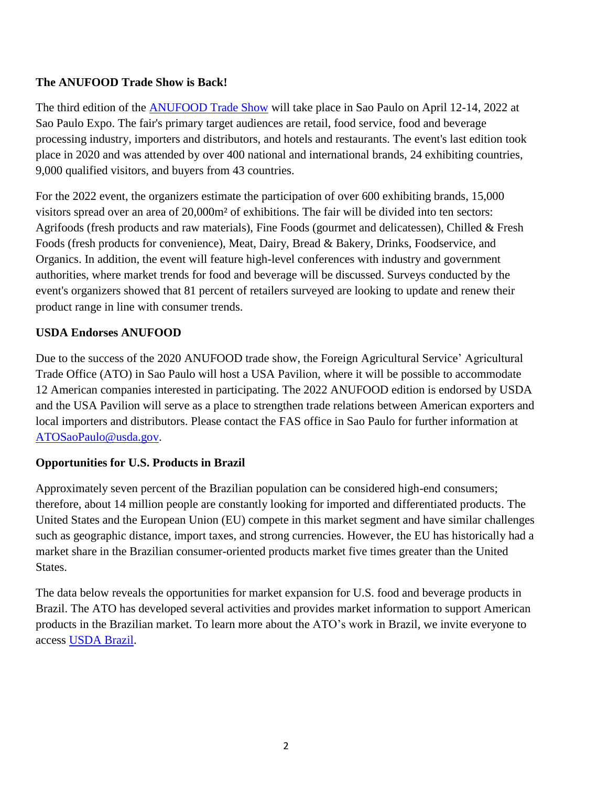## **The ANUFOOD Trade Show is Back!**

The third edition of the [ANUFOOD Trade Show](https://www.anufoodbrazil.com.br/en/) will take place in Sao Paulo on April 12-14, 2022 at Sao Paulo Expo. The fair's primary target audiences are retail, food service, food and beverage processing industry, importers and distributors, and hotels and restaurants. The event's last edition took place in 2020 and was attended by over 400 national and international brands, 24 exhibiting countries, 9,000 qualified visitors, and buyers from 43 countries.

For the 2022 event, the organizers estimate the participation of over 600 exhibiting brands, 15,000 visitors spread over an area of 20,000m² of exhibitions. The fair will be divided into ten sectors: Agrifoods (fresh products and raw materials), Fine Foods (gourmet and delicatessen), Chilled & Fresh Foods (fresh products for convenience), Meat, Dairy, Bread & Bakery, Drinks, Foodservice, and Organics. In addition, the event will feature high-level conferences with industry and government authorities, where market trends for food and beverage will be discussed. Surveys conducted by the event's organizers showed that 81 percent of retailers surveyed are looking to update and renew their product range in line with consumer trends.

### **USDA Endorses ANUFOOD**

Due to the success of the 2020 ANUFOOD trade show, the Foreign Agricultural Service' Agricultural Trade Office (ATO) in Sao Paulo will host a USA Pavilion, where it will be possible to accommodate 12 American companies interested in participating. The 2022 ANUFOOD edition is endorsed by USDA and the USA Pavilion will serve as a place to strengthen trade relations between American exporters and local importers and distributors. Please contact the FAS office in Sao Paulo for further information at [ATOSaoPaulo@usda.gov.](mailto:ATOSaoPaulo@usda.gov)

#### **Opportunities for U.S. Products in Brazil**

Approximately seven percent of the Brazilian population can be considered high-end consumers; therefore, about 14 million people are constantly looking for imported and differentiated products. The United States and the European Union (EU) compete in this market segment and have similar challenges such as geographic distance, import taxes, and strong currencies. However, the EU has historically had a market share in the Brazilian consumer-oriented products market five times greater than the United States.

The data below reveals the opportunities for market expansion for U.S. food and beverage products in Brazil. The ATO has developed several activities and provides market information to support American products in the Brazilian market. To learn more about the ATO's work in Brazil, we invite everyone to access [USDA Brazil.](https://usdabrazil.org.br/en/)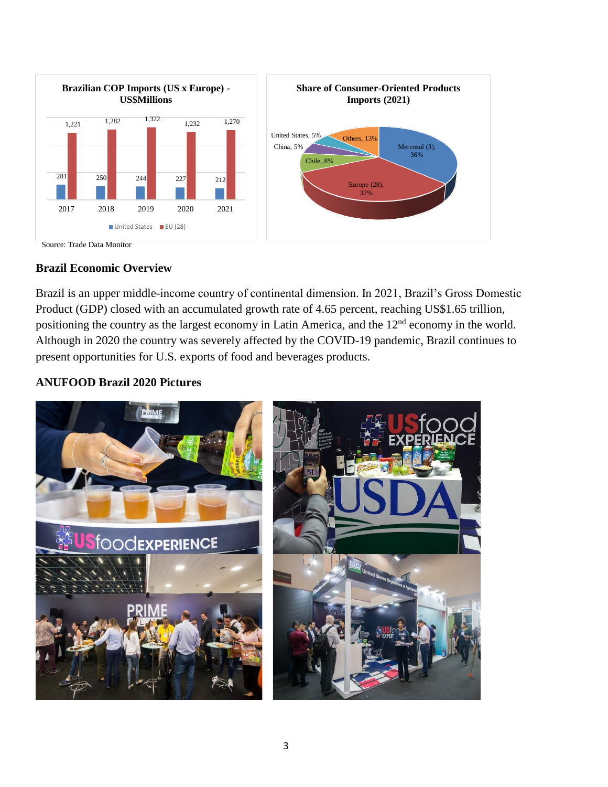

Source: Trade Data Monitor

#### **Brazil Economic Overview**

Brazil is an upper middle-income country of continental dimension. In 2021, Brazil's Gross Domestic Product (GDP) closed with an accumulated growth rate of 4.65 percent, reaching US\$1.65 trillion, positioning the country as the largest economy in Latin America, and the 12nd economy in the world. Although in 2020 the country was severely affected by the COVID-19 pandemic, Brazil continues to present opportunities for U.S. exports of food and beverages products.

## **ANUFOOD Brazil 2020 Pictures**